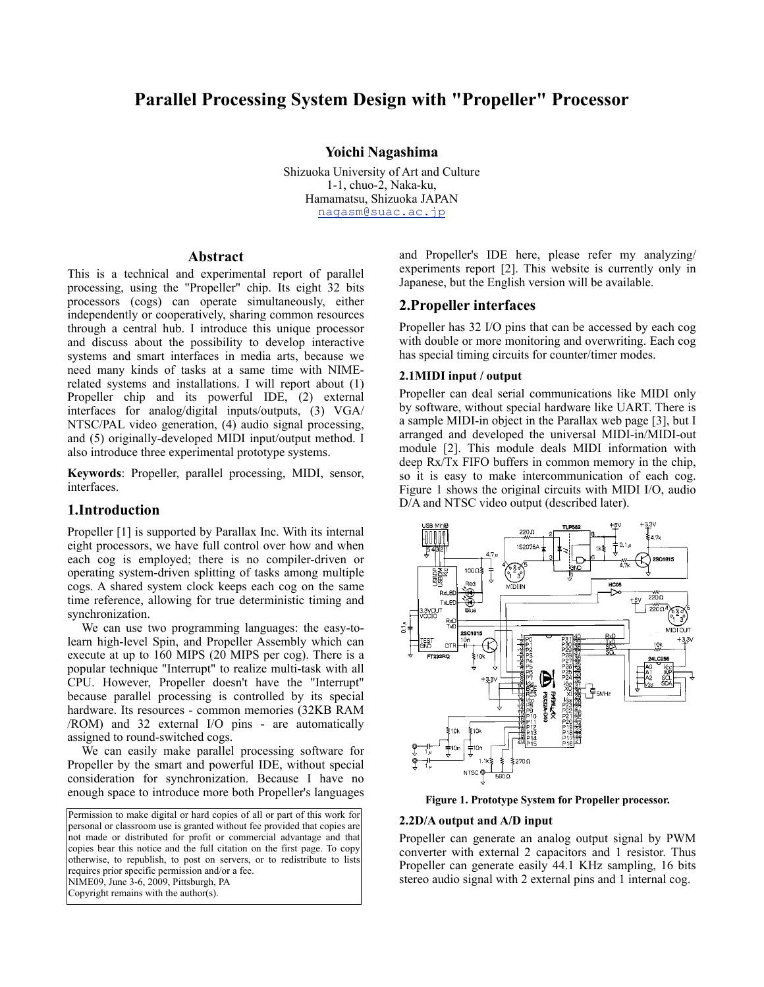# **Parallel Processing System Design with "Propeller" Processor**

#### **Yoichi Nagashima**

Shizuoka University of Art and Culture 1-1, chuo-2, Naka-ku, Hamamatsu, Shizuoka JAPAN nagasm@suac.ac.jp

#### **Abstract**

This is a technical and experimental report of parallel processing, using the "Propeller" chip. Its eight 32 bits processors (cogs) can operate simultaneously, either independently or cooperatively, sharing common resources through a central hub. I introduce this unique processor and discuss about the possibility to develop interactive systems and smart interfaces in media arts, because we need many kinds of tasks at a same time with NIMErelated systems and installations. I will report about (1) Propeller chip and its powerful IDE, (2) external interfaces for analog/digital inputs/outputs, (3) VGA/ NTSC/PAL video generation, (4) audio signal processing, and (5) originally-developed MIDI input/output method. I also introduce three experimental prototype systems.

**Keywords**: Propeller, parallel processing, MIDI, sensor, interfaces.

#### **1.Introduction**

Propeller [1] is supported by Parallax Inc. With its internal eight processors, we have full control over how and when each cog is employed; there is no compiler-driven or operating system-driven splitting of tasks among multiple cogs. A shared system clock keeps each cog on the same time reference, allowing for true deterministic timing and synchronization.

We can use two programming languages: the easy-tolearn high-level Spin, and Propeller Assembly which can execute at up to 160 MIPS (20 MIPS per cog). There is a popular technique "Interrupt" to realize multi-task with all CPU. However, Propeller doesn't have the "Interrupt" because parallel processing is controlled by its special hardware. Its resources - common memories (32KB RAM /ROM) and 32 external I/O pins - are automatically assigned to round-switched cogs.

We can easily make parallel processing software for Propeller by the smart and powerful IDE, without special consideration for synchronization. Because I have no enough space to introduce more both Propeller's languages

Permission to make digital or hard copies of all or part of this work for personal or classroom use is granted without fee provided that copies are not made or distributed for profit or commercial advantage and that copies bear this notice and the full citation on the first page. To copy otherwise, to republish, to post on servers, or to redistribute to lists requires prior specific permission and/or a fee. NIME09, June 3-6, 2009, Pittsburgh, PA Copyright remains with the author(s).

and Propeller's IDE here, please refer my analyzing/ experiments report [2]. This website is currently only in Japanese, but the English version will be available.

#### **2.Propeller interfaces**

Propeller has 32 I/O pins that can be accessed by each cog with double or more monitoring and overwriting. Each cog has special timing circuits for counter/timer modes.

#### **2.1MIDI input / output**

Propeller can deal serial communications like MIDI only by software, without special hardware like UART. There is a sample MIDI-in object in the Parallax web page [3], but I arranged and developed the universal MIDI-in/MIDI-out module [2]. This module deals MIDI information with deep Rx/Tx FIFO buffers in common memory in the chip, so it is easy to make intercommunication of each cog. Figure 1 shows the original circuits with MIDI I/O, audio D/A and NTSC video output (described later).



**Figure 1. Prototype System for Propeller processor.**

#### **2.2D/A output and A/D input**

Propeller can generate an analog output signal by PWM converter with external 2 capacitors and 1 resistor. Thus Propeller can generate easily 44.1 KHz sampling, 16 bits stereo audio signal with 2 external pins and 1 internal cog.